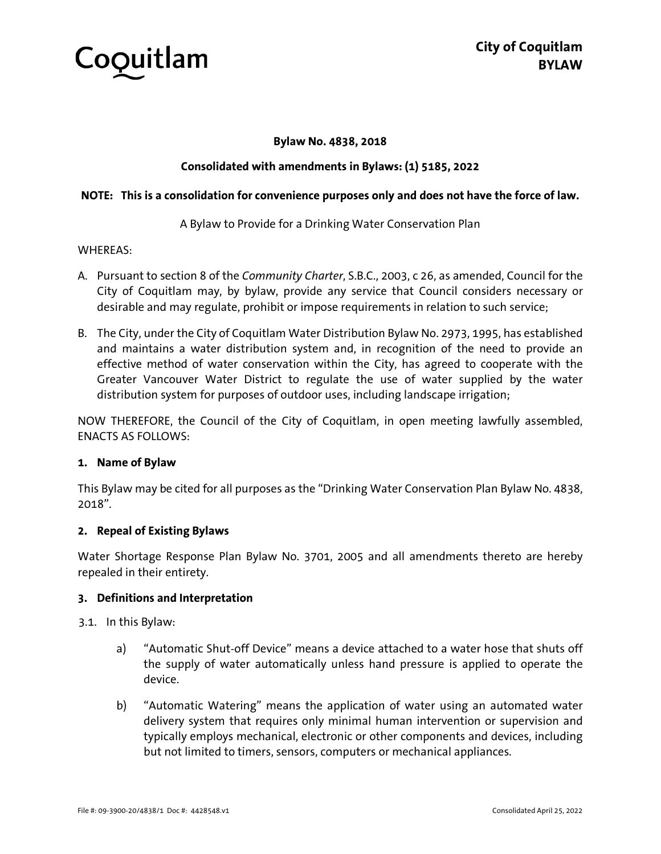

## **Bylaw No. 4838, 2018**

## **Consolidated with amendments in Bylaws: (1) 5185, 2022**

## **NOTE: This is a consolidation for convenience purposes only and does not have the force of law.**

A Bylaw to Provide for a Drinking Water Conservation Plan

#### WHEREAS:

- A. Pursuant to section 8 of the *Community Charter*, S.B.C., 2003, c 26, as amended, Council for the City of Coquitlam may, by bylaw, provide any service that Council considers necessary or desirable and may regulate, prohibit or impose requirements in relation to such service;
- B. The City, under the City of Coquitlam Water Distribution Bylaw No. 2973, 1995, has established and maintains a water distribution system and, in recognition of the need to provide an effective method of water conservation within the City, has agreed to cooperate with the Greater Vancouver Water District to regulate the use of water supplied by the water distribution system for purposes of outdoor uses, including landscape irrigation;

NOW THEREFORE, the Council of the City of Coquitlam, in open meeting lawfully assembled, ENACTS AS FOLLOWS:

## **1. Name of Bylaw**

This Bylaw may be cited for all purposes as the "Drinking Water Conservation Plan Bylaw No. 4838, 2018".

## **2. Repeal of Existing Bylaws**

Water Shortage Response Plan Bylaw No. 3701, 2005 and all amendments thereto are hereby repealed in their entirety.

## **3. Definitions and Interpretation**

3.1. In this Bylaw:

- a) "Automatic Shut-off Device" means a device attached to a water hose that shuts off the supply of water automatically unless hand pressure is applied to operate the device.
- b) "Automatic Watering" means the application of water using an automated water delivery system that requires only minimal human intervention or supervision and typically employs mechanical, electronic or other components and devices, including but not limited to timers, sensors, computers or mechanical appliances.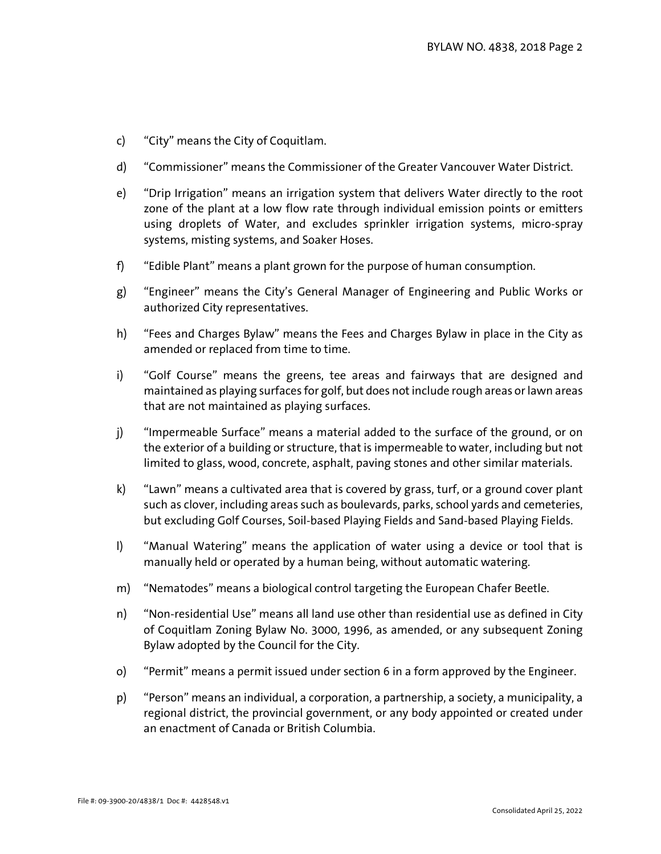- c) "City" means the City of Coquitlam.
- d) "Commissioner" means the Commissioner of the Greater Vancouver Water District.
- e) "Drip Irrigation" means an irrigation system that delivers Water directly to the root zone of the plant at a low flow rate through individual emission points or emitters using droplets of Water, and excludes sprinkler irrigation systems, micro-spray systems, misting systems, and Soaker Hoses.
- f) "Edible Plant" means a plant grown for the purpose of human consumption.
- g) "Engineer" means the City's General Manager of Engineering and Public Works or authorized City representatives.
- h) "Fees and Charges Bylaw" means the Fees and Charges Bylaw in place in the City as amended or replaced from time to time.
- i) "Golf Course" means the greens, tee areas and fairways that are designed and maintained as playing surfaces for golf, but does not include rough areas or lawn areas that are not maintained as playing surfaces.
- j) "Impermeable Surface" means a material added to the surface of the ground, or on the exterior of a building or structure, that is impermeable to water, including but not limited to glass, wood, concrete, asphalt, paving stones and other similar materials.
- k) "Lawn" means a cultivated area that is covered by grass, turf, or a ground cover plant such as clover, including areas such as boulevards, parks, school yards and cemeteries, but excluding Golf Courses, Soil-based Playing Fields and Sand-based Playing Fields.
- l) "Manual Watering" means the application of water using a device or tool that is manually held or operated by a human being, without automatic watering.
- m) "Nematodes" means a biological control targeting the European Chafer Beetle.
- n) "Non-residential Use" means all land use other than residential use as defined in City of Coquitlam Zoning Bylaw No. 3000, 1996, as amended, or any subsequent Zoning Bylaw adopted by the Council for the City.
- o) "Permit" means a permit issued under section 6 in a form approved by the Engineer.
- p) "Person" means an individual, a corporation, a partnership, a society, a municipality, a regional district, the provincial government, or any body appointed or created under an enactment of Canada or British Columbia.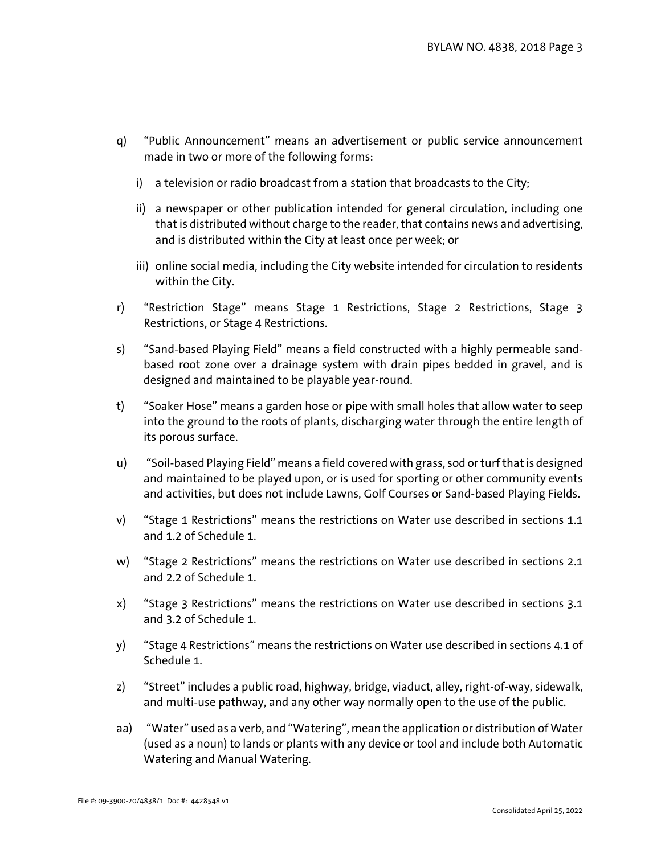- q) "Public Announcement" means an advertisement or public service announcement made in two or more of the following forms:
	- i) a television or radio broadcast from a station that broadcasts to the City;
	- ii) a newspaper or other publication intended for general circulation, including one that is distributed without charge to the reader, that contains news and advertising, and is distributed within the City at least once per week; or
	- iii) online social media, including the City website intended for circulation to residents within the City.
- r) "Restriction Stage" means Stage 1 Restrictions, Stage 2 Restrictions, Stage 3 Restrictions, or Stage 4 Restrictions.
- s) "Sand-based Playing Field" means a field constructed with a highly permeable sandbased root zone over a drainage system with drain pipes bedded in gravel, and is designed and maintained to be playable year-round.
- t) "Soaker Hose" means a garden hose or pipe with small holes that allow water to seep into the ground to the roots of plants, discharging water through the entire length of its porous surface.
- u) "Soil-based Playing Field" means a field covered with grass, sod or turf that is designed and maintained to be played upon, or is used for sporting or other community events and activities, but does not include Lawns, Golf Courses or Sand-based Playing Fields.
- v) "Stage 1 Restrictions" means the restrictions on Water use described in sections 1.1 and 1.2 of Schedule 1.
- w) "Stage 2 Restrictions" means the restrictions on Water use described in sections 2.1 and 2.2 of Schedule 1.
- x) "Stage 3 Restrictions" means the restrictions on Water use described in sections 3.1 and 3.2 of Schedule 1.
- y) "Stage 4 Restrictions" means the restrictions on Water use described in sections 4.1 of Schedule 1.
- z) "Street" includes a public road, highway, bridge, viaduct, alley, right-of-way, sidewalk, and multi-use pathway, and any other way normally open to the use of the public.
- aa) "Water" used as a verb, and "Watering", mean the application or distribution of Water (used as a noun) to lands or plants with any device or tool and include both Automatic Watering and Manual Watering.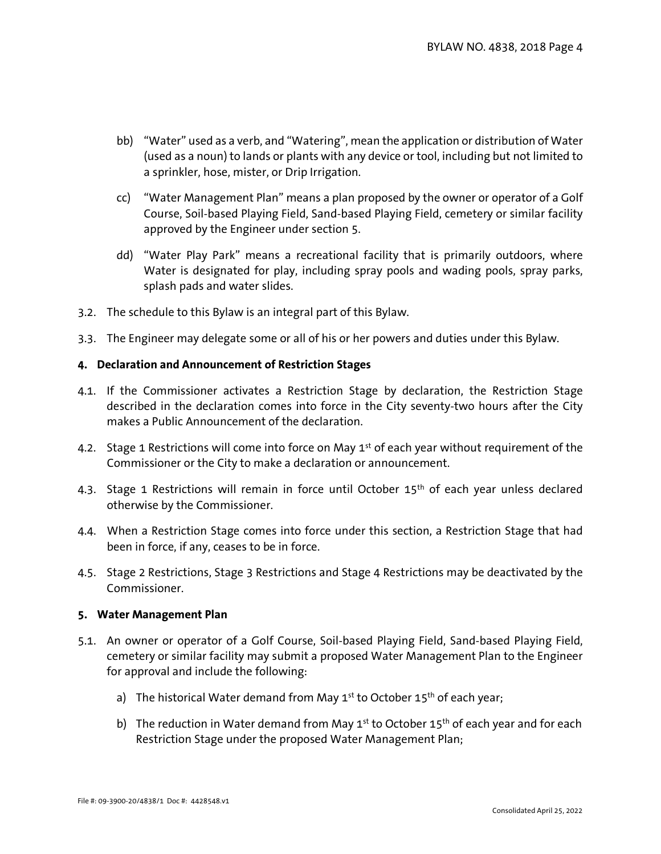- bb) "Water" used as a verb, and "Watering", mean the application or distribution of Water (used as a noun) to lands or plants with any device or tool, including but not limited to a sprinkler, hose, mister, or Drip Irrigation.
- cc) "Water Management Plan" means a plan proposed by the owner or operator of a Golf Course, Soil-based Playing Field, Sand-based Playing Field, cemetery or similar facility approved by the Engineer under section [5.](#page-3-0)
- dd) "Water Play Park" means a recreational facility that is primarily outdoors, where Water is designated for play, including spray pools and wading pools, spray parks, splash pads and water slides.
- 3.2. The schedule to this Bylaw is an integral part of this Bylaw.
- 3.3. The Engineer may delegate some or all of his or her powers and duties under this Bylaw.

## **4. Declaration and Announcement of Restriction Stages**

- 4.1. If the Commissioner activates a Restriction Stage by declaration, the Restriction Stage described in the declaration comes into force in the City seventy-two hours after the City makes a Public Announcement of the declaration.
- 4.2. Stage 1 Restrictions will come into force on May 1<sup>st</sup> of each year without requirement of the Commissioner or the City to make a declaration or announcement.
- 4.3. Stage 1 Restrictions will remain in force until October 15<sup>th</sup> of each year unless declared otherwise by the Commissioner.
- 4.4. When a Restriction Stage comes into force under this section, a Restriction Stage that had been in force, if any, ceases to be in force.
- 4.5. Stage 2 Restrictions, Stage 3 Restrictions and Stage 4 Restrictions may be deactivated by the Commissioner.

## <span id="page-3-0"></span>**5. Water Management Plan**

- 5.1. An owner or operator of a Golf Course, Soil-based Playing Field, Sand-based Playing Field, cemetery or similar facility may submit a proposed Water Management Plan to the Engineer for approval and include the following:
	- a) The historical Water demand from May  $1^{st}$  to October 15<sup>th</sup> of each year;
	- b) The reduction in Water demand from May  $1<sup>st</sup>$  to October  $15<sup>th</sup>$  of each year and for each Restriction Stage under the proposed Water Management Plan;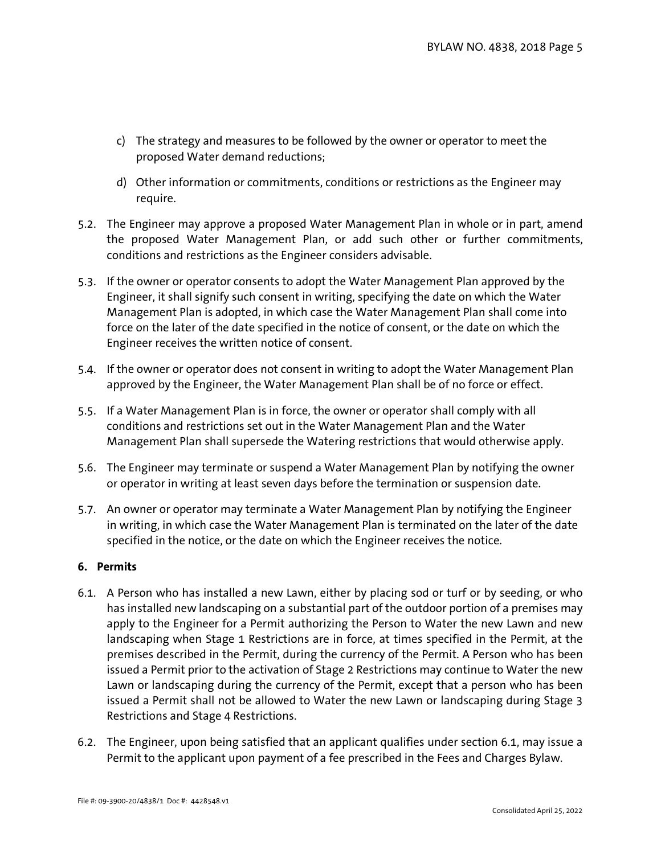- c) The strategy and measures to be followed by the owner or operator to meet the proposed Water demand reductions;
- d) Other information or commitments, conditions or restrictions as the Engineer may require.
- 5.2. The Engineer may approve a proposed Water Management Plan in whole or in part, amend the proposed Water Management Plan, or add such other or further commitments, conditions and restrictions as the Engineer considers advisable.
- 5.3. If the owner or operator consents to adopt the Water Management Plan approved by the Engineer, it shall signify such consent in writing, specifying the date on which the Water Management Plan is adopted, in which case the Water Management Plan shall come into force on the later of the date specified in the notice of consent, or the date on which the Engineer receives the written notice of consent.
- 5.4. If the owner or operator does not consent in writing to adopt the Water Management Plan approved by the Engineer, the Water Management Plan shall be of no force or effect.
- 5.5. If a Water Management Plan is in force, the owner or operator shall comply with all conditions and restrictions set out in the Water Management Plan and the Water Management Plan shall supersede the Watering restrictions that would otherwise apply.
- 5.6. The Engineer may terminate or suspend a Water Management Plan by notifying the owner or operator in writing at least seven days before the termination or suspension date.
- 5.7. An owner or operator may terminate a Water Management Plan by notifying the Engineer in writing, in which case the Water Management Plan is terminated on the later of the date specified in the notice, or the date on which the Engineer receives the notice.

## **6. Permits**

- <span id="page-4-0"></span>6.1. A Person who has installed a new Lawn, either by placing sod or turf or by seeding, or who has installed new landscaping on a substantial part of the outdoor portion of a premises may apply to the Engineer for a Permit authorizing the Person to Water the new Lawn and new landscaping when Stage 1 Restrictions are in force, at times specified in the Permit, at the premises described in the Permit, during the currency of the Permit. A Person who has been issued a Permit prior to the activation of Stage 2 Restrictions may continue to Water the new Lawn or landscaping during the currency of the Permit, except that a person who has been issued a Permit shall not be allowed to Water the new Lawn or landscaping during Stage 3 Restrictions and Stage 4 Restrictions.
- <span id="page-4-1"></span>6.2. The Engineer, upon being satisfied that an applicant qualifies under section [6.1,](#page-4-0) may issue a Permit to the applicant upon payment of a fee prescribed in the Fees and Charges Bylaw.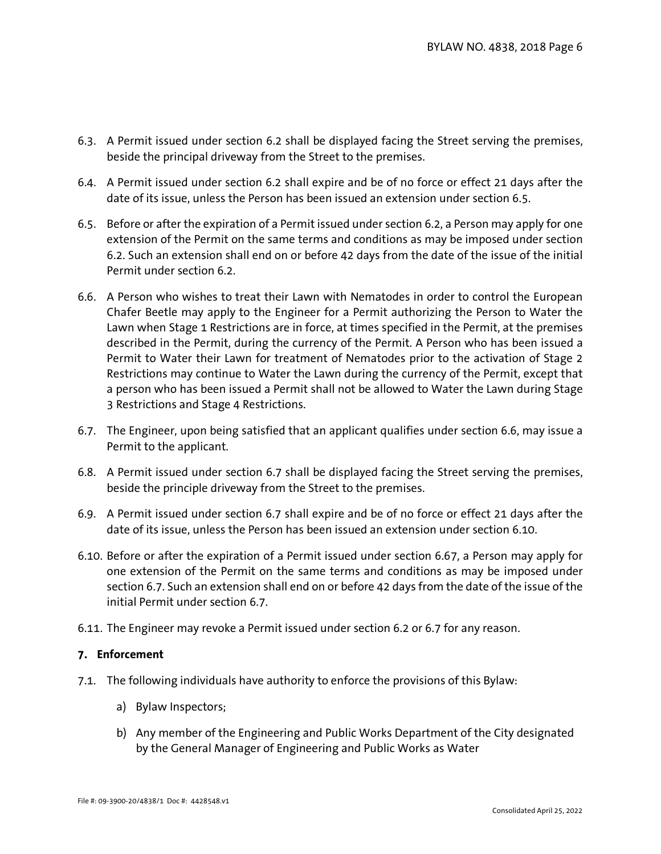- 6.3. A Permit issued under section [6.2](#page-4-1) shall be displayed facing the Street serving the premises, beside the principal driveway from the Street to the premises.
- 6.4. A Permit issued under section [6.2](#page-4-1) shall expire and be of no force or effect 21 days after the date of its issue, unless the Person has been issued an extension under sectio[n 6.5.](#page-5-0)
- <span id="page-5-0"></span>6.5. Before or after the expiration of a Permit issued under sectio[n 6.2,](#page-4-1) a Person may apply for one extension of the Permit on the same terms and conditions as may be imposed under section [6.2.](#page-4-1) Such an extension shall end on or before 42 days from the date of the issue of the initial Permit under section [6.2.](#page-4-1)
- <span id="page-5-1"></span>6.6. A Person who wishes to treat their Lawn with Nematodes in order to control the European Chafer Beetle may apply to the Engineer for a Permit authorizing the Person to Water the Lawn when Stage 1 Restrictions are in force, at times specified in the Permit, at the premises described in the Permit, during the currency of the Permit. A Person who has been issued a Permit to Water their Lawn for treatment of Nematodes prior to the activation of Stage 2 Restrictions may continue to Water the Lawn during the currency of the Permit, except that a person who has been issued a Permit shall not be allowed to Water the Lawn during Stage 3 Restrictions and Stage 4 Restrictions.
- <span id="page-5-2"></span>6.7. The Engineer, upon being satisfied that an applicant qualifies under section [6.6,](#page-5-1) may issue a Permit to the applicant.
- 6.8. A Permit issued under section [6.7](#page-5-2) shall be displayed facing the Street serving the premises, beside the principle driveway from the Street to the premises.
- 6.9. A Permit issued under section [6.7](#page-5-2) shall expire and be of no force or effect 21 days after the date of its issue, unless the Person has been issued an extension under sectio[n 6.10.](#page-5-3)
- <span id="page-5-3"></span>6.10. Before or after the expiration of a Permit issued under section [6.67](#page-5-1), a Person may apply for one extension of the Permit on the same terms and conditions as may be imposed under section 6.7. Such an extension shall end on or before 42 days from the date of the issue of the initial Permit under section [6.7.](#page-5-2)
- 6.11. The Engineer may revoke a Permit issued under section [6.2](#page-4-1) or [6.7](#page-5-2) for any reason.

## **7. Enforcement**

- 7.1. The following individuals have authority to enforce the provisions of this Bylaw:
	- a) Bylaw Inspectors;
	- b) Any member of the Engineering and Public Works Department of the City designated by the General Manager of Engineering and Public Works as Water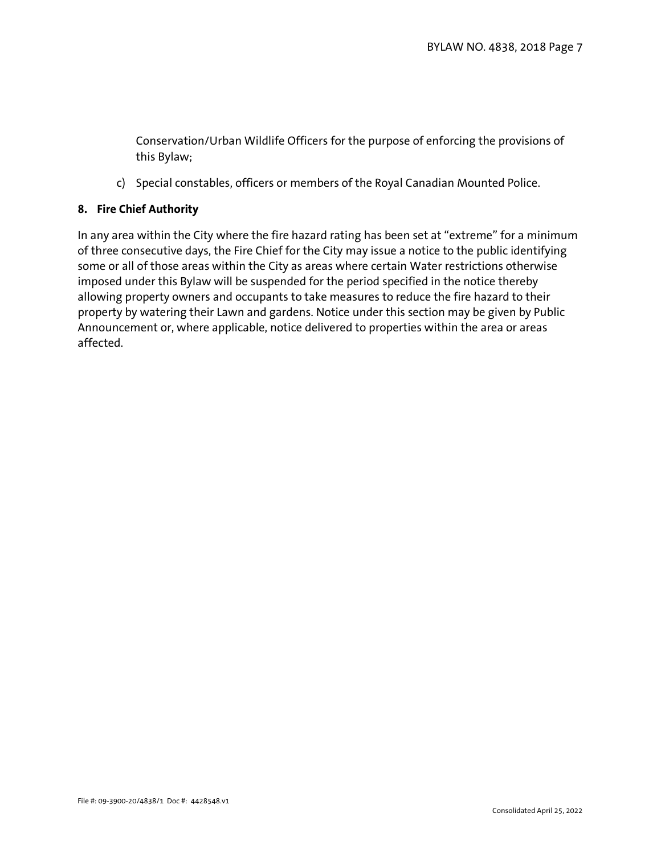Conservation/Urban Wildlife Officers for the purpose of enforcing the provisions of this Bylaw;

c) Special constables, officers or members of the Royal Canadian Mounted Police.

## **8. Fire Chief Authority**

In any area within the City where the fire hazard rating has been set at "extreme" for a minimum of three consecutive days, the Fire Chief for the City may issue a notice to the public identifying some or all of those areas within the City as areas where certain Water restrictions otherwise imposed under this Bylaw will be suspended for the period specified in the notice thereby allowing property owners and occupants to take measures to reduce the fire hazard to their property by watering their Lawn and gardens. Notice under this section may be given by Public Announcement or, where applicable, notice delivered to properties within the area or areas affected.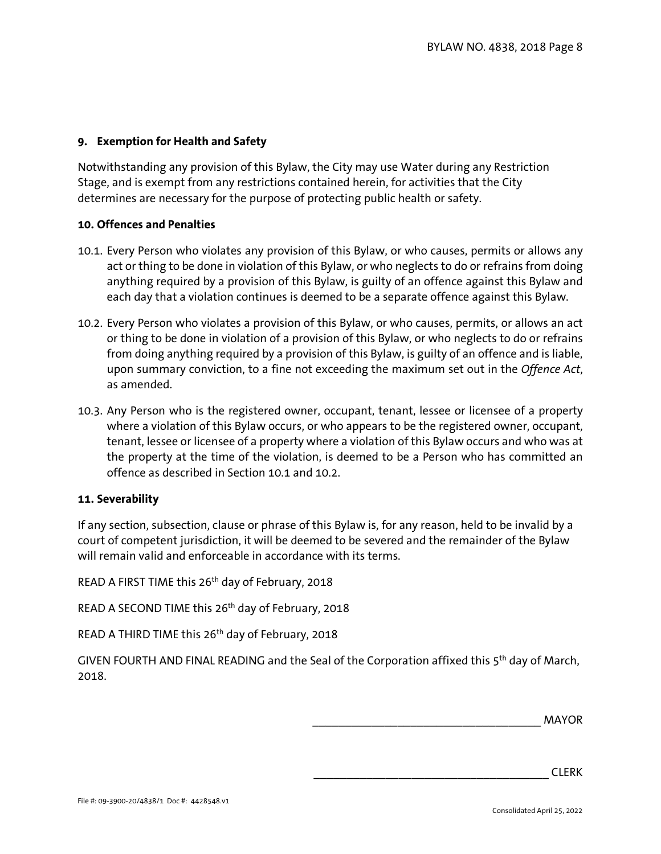## **9. Exemption for Health and Safety**

Notwithstanding any provision of this Bylaw, the City may use Water during any Restriction Stage, and is exempt from any restrictions contained herein, for activities that the City determines are necessary for the purpose of protecting public health or safety.

## **10. Offences and Penalties**

- 10.1. Every Person who violates any provision of this Bylaw, or who causes, permits or allows any act or thing to be done in violation of this Bylaw, or who neglects to do or refrains from doing anything required by a provision of this Bylaw, is guilty of an offence against this Bylaw and each day that a violation continues is deemed to be a separate offence against this Bylaw.
- 10.2. Every Person who violates a provision of this Bylaw, or who causes, permits, or allows an act or thing to be done in violation of a provision of this Bylaw, or who neglects to do or refrains from doing anything required by a provision of this Bylaw, is guilty of an offence and is liable, upon summary conviction, to a fine not exceeding the maximum set out in the *Offence Act*, as amended.
- 10.3. Any Person who is the registered owner, occupant, tenant, lessee or licensee of a property where a violation of this Bylaw occurs, or who appears to be the registered owner, occupant, tenant, lessee or licensee of a property where a violation of this Bylaw occurs and who was at the property at the time of the violation, is deemed to be a Person who has committed an offence as described in Section 10.1 and 10.2.

## **11. Severability**

If any section, subsection, clause or phrase of this Bylaw is, for any reason, held to be invalid by a court of competent jurisdiction, it will be deemed to be severed and the remainder of the Bylaw will remain valid and enforceable in accordance with its terms.

READ A FIRST TIME this 26th day of February, 2018

READ A SECOND TIME this 26th day of February, 2018

READ A THIRD TIME this 26th day of February, 2018

GIVEN FOURTH AND FINAL READING and the Seal of the Corporation affixed this 5th day of March, 2018.

\_\_\_\_\_\_\_\_\_\_\_\_\_\_\_\_\_\_\_\_\_\_\_\_\_\_\_\_\_\_\_\_\_\_\_ MAYOR

\_\_\_\_\_\_\_\_\_\_\_\_\_\_\_\_\_\_\_\_\_\_\_\_\_\_\_\_\_\_\_\_\_\_\_\_ CLERK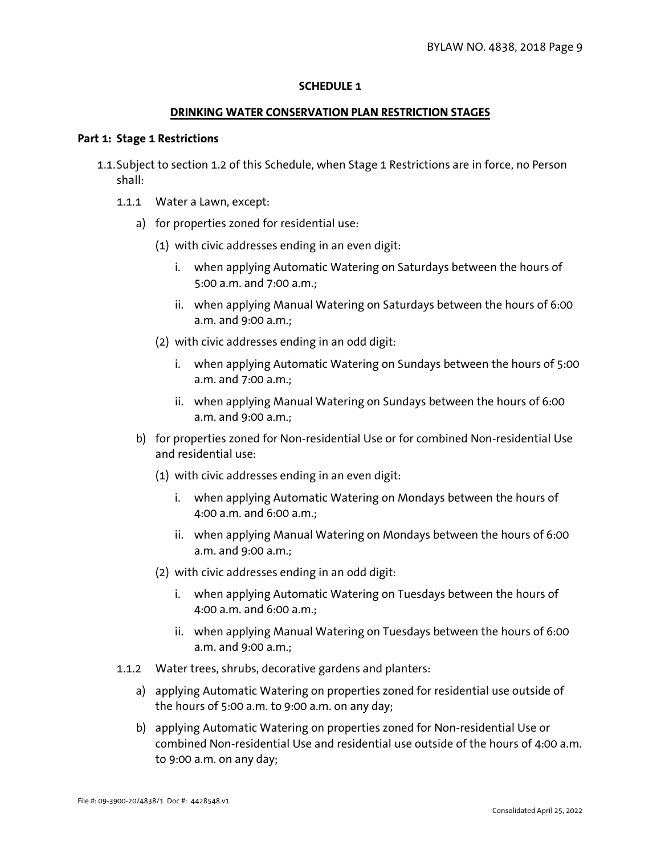## **SCHEDULE 1**

#### **DRINKING WATER CONSERVATION PLAN RESTRICTION STAGES**

#### **Part 1: Stage 1 Restrictions**

- 1.1.Subject to section 1.2 of this Schedule, when Stage 1 Restrictions are in force, no Person shall:
	- 1.1.1 Water a Lawn, except:
		- a) for properties zoned for residential use:
			- (1) with civic addresses ending in an even digit:
				- i. when applying Automatic Watering on Saturdays between the hours of 5:00 a.m. and 7:00 a.m.;
				- ii. when applying Manual Watering on Saturdays between the hours of 6:00 a.m. and 9:00 a.m.;
			- (2) with civic addresses ending in an odd digit:
				- i. when applying Automatic Watering on Sundays between the hours of 5:00 a.m. and 7:00 a.m.;
				- ii. when applying Manual Watering on Sundays between the hours of 6:00 a.m. and 9:00 a.m.;
		- b) for properties zoned for Non-residential Use or for combined Non-residential Use and residential use:
			- (1) with civic addresses ending in an even digit:
				- i. when applying Automatic Watering on Mondays between the hours of 4:00 a.m. and 6:00 a.m.;
				- ii. when applying Manual Watering on Mondays between the hours of 6:00 a.m. and 9:00 a.m.;
			- (2) with civic addresses ending in an odd digit:
				- i. when applying Automatic Watering on Tuesdays between the hours of 4:00 a.m. and 6:00 a.m.;
				- ii. when applying Manual Watering on Tuesdays between the hours of 6:00 a.m. and 9:00 a.m.;
	- 1.1.2 Water trees, shrubs, decorative gardens and planters:
		- a) applying Automatic Watering on properties zoned for residential use outside of the hours of 5:00 a.m. to 9:00 a.m. on any day;
		- b) applying Automatic Watering on properties zoned for Non-residential Use or combined Non-residential Use and residential use outside of the hours of 4:00 a.m. to 9:00 a.m. on any day;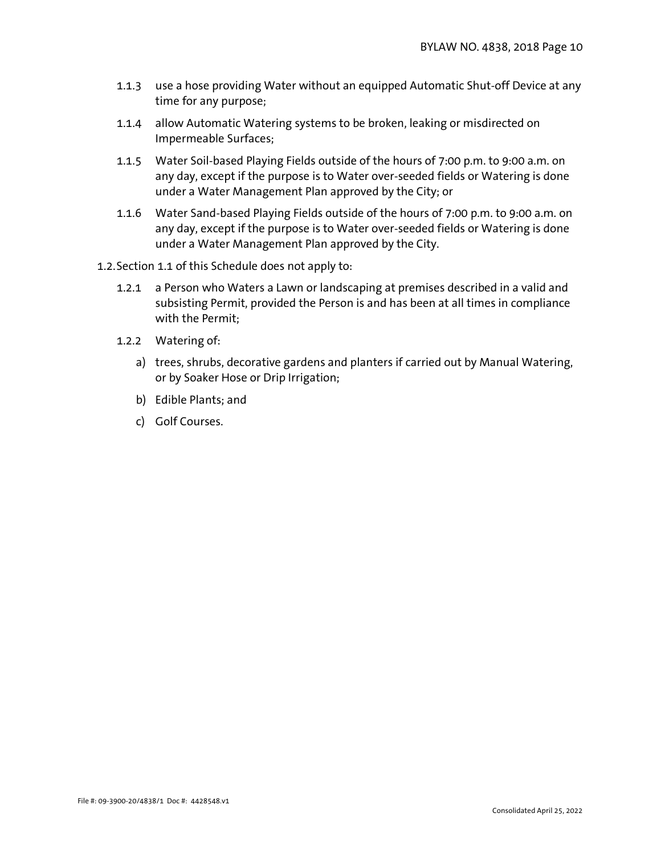- 1.1.3 use a hose providing Water without an equipped Automatic Shut-off Device at any time for any purpose;
- 1.1.4 allow Automatic Watering systems to be broken, leaking or misdirected on Impermeable Surfaces;
- 1.1.5 Water Soil-based Playing Fields outside of the hours of 7:00 p.m. to 9:00 a.m. on any day, except if the purpose is to Water over-seeded fields or Watering is done under a Water Management Plan approved by the City; or
- 1.1.6 Water Sand-based Playing Fields outside of the hours of 7:00 p.m. to 9:00 a.m. on any day, except if the purpose is to Water over-seeded fields or Watering is done under a Water Management Plan approved by the City.
- 1.2.Section 1.1 of this Schedule does not apply to:
	- 1.2.1 a Person who Waters a Lawn or landscaping at premises described in a valid and subsisting Permit, provided the Person is and has been at all times in compliance with the Permit;
	- 1.2.2 Watering of:
		- a) trees, shrubs, decorative gardens and planters if carried out by Manual Watering, or by Soaker Hose or Drip Irrigation;
		- b) Edible Plants; and
		- c) Golf Courses.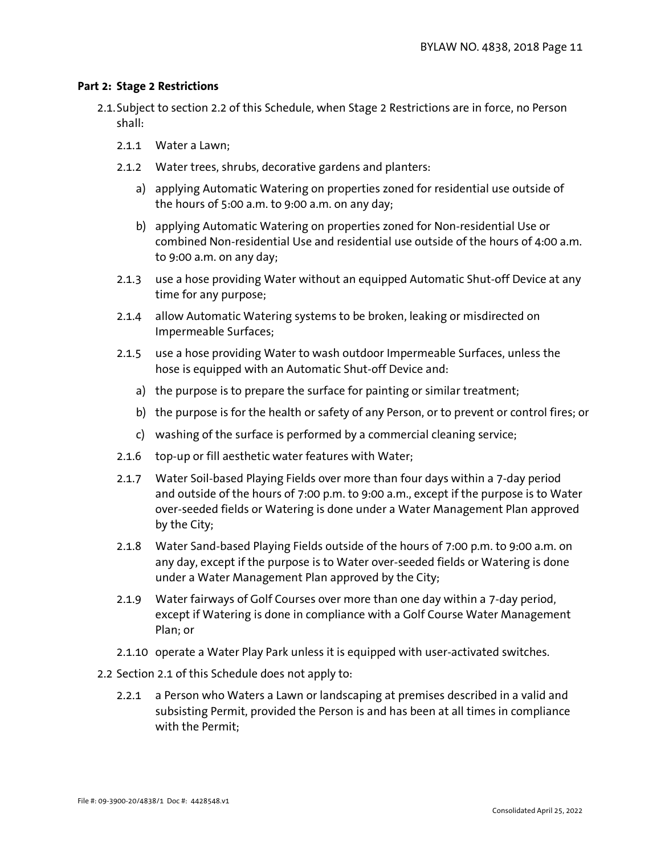## **Part 2: Stage 2 Restrictions**

- 2.1.Subject to section 2.2 of this Schedule, when Stage 2 Restrictions are in force, no Person shall:
	- 2.1.1 Water a Lawn;
	- 2.1.2 Water trees, shrubs, decorative gardens and planters:
		- a) applying Automatic Watering on properties zoned for residential use outside of the hours of 5:00 a.m. to 9:00 a.m. on any day;
		- b) applying Automatic Watering on properties zoned for Non-residential Use or combined Non-residential Use and residential use outside of the hours of 4:00 a.m. to 9:00 a.m. on any day;
	- 2.1.3 use a hose providing Water without an equipped Automatic Shut-off Device at any time for any purpose;
	- 2.1.4 allow Automatic Watering systems to be broken, leaking or misdirected on Impermeable Surfaces;
	- 2.1.5 use a hose providing Water to wash outdoor Impermeable Surfaces, unless the hose is equipped with an Automatic Shut-off Device and:
		- a) the purpose is to prepare the surface for painting or similar treatment;
		- b) the purpose is for the health or safety of any Person, or to prevent or control fires; or
		- c) washing of the surface is performed by a commercial cleaning service;
	- 2.1.6 top-up or fill aesthetic water features with Water;
	- 2.1.7 Water Soil-based Playing Fields over more than four days within a 7-day period and outside of the hours of 7:00 p.m. to 9:00 a.m., except if the purpose is to Water over-seeded fields or Watering is done under a Water Management Plan approved by the City;
	- 2.1.8 Water Sand-based Playing Fields outside of the hours of 7:00 p.m. to 9:00 a.m. on any day, except if the purpose is to Water over-seeded fields or Watering is done under a Water Management Plan approved by the City;
	- 2.1.9 Water fairways of Golf Courses over more than one day within a 7-day period, except if Watering is done in compliance with a Golf Course Water Management Plan; or
	- 2.1.10 operate a Water Play Park unless it is equipped with user-activated switches.
- 2.2 Section 2.1 of this Schedule does not apply to:
	- 2.2.1 a Person who Waters a Lawn or landscaping at premises described in a valid and subsisting Permit, provided the Person is and has been at all times in compliance with the Permit;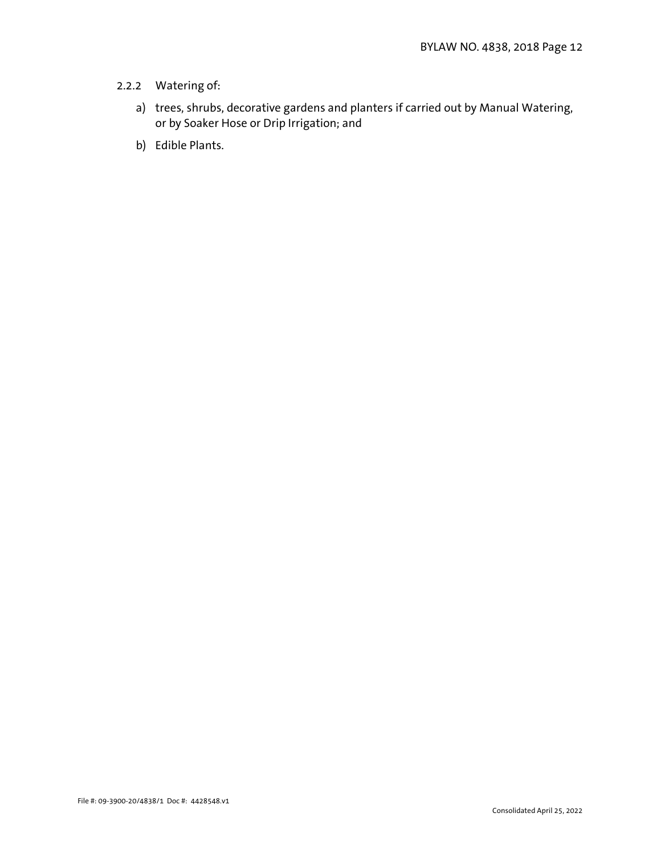# 2.2.2 Watering of:

- a) trees, shrubs, decorative gardens and planters if carried out by Manual Watering, or by Soaker Hose or Drip Irrigation; and
- b) Edible Plants.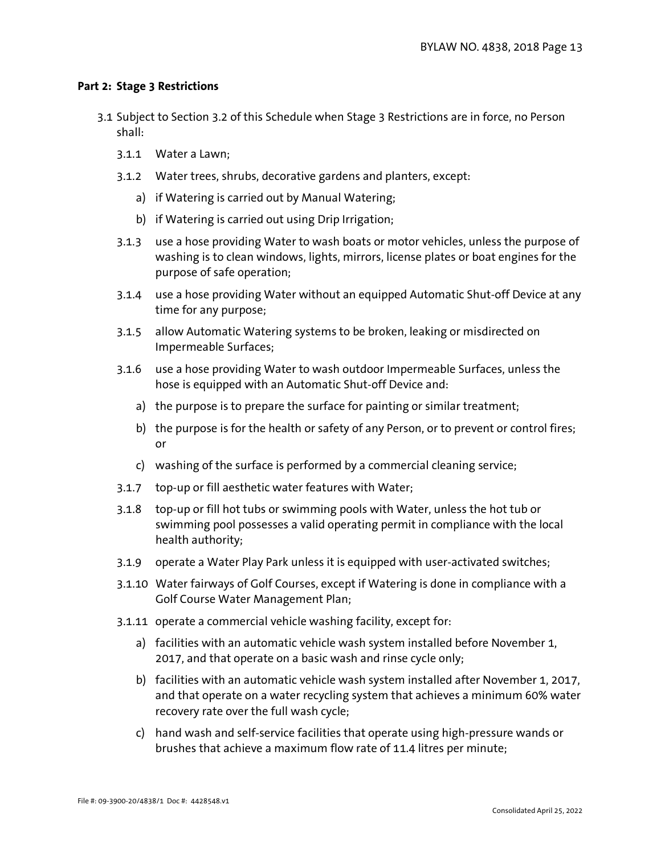## **Part 2: Stage 3 Restrictions**

- 3.1 Subject to Section 3.2 of this Schedule when Stage 3 Restrictions are in force, no Person shall:
	- 3.1.1 Water a Lawn;
	- 3.1.2 Water trees, shrubs, decorative gardens and planters, except:
		- a) if Watering is carried out by Manual Watering;
		- b) if Watering is carried out using Drip Irrigation;
	- 3.1.3 use a hose providing Water to wash boats or motor vehicles, unless the purpose of washing is to clean windows, lights, mirrors, license plates or boat engines for the purpose of safe operation;
	- 3.1.4 use a hose providing Water without an equipped Automatic Shut-off Device at any time for any purpose;
	- 3.1.5 allow Automatic Watering systems to be broken, leaking or misdirected on Impermeable Surfaces;
	- 3.1.6 use a hose providing Water to wash outdoor Impermeable Surfaces, unless the hose is equipped with an Automatic Shut-off Device and:
		- a) the purpose is to prepare the surface for painting or similar treatment;
		- b) the purpose is for the health or safety of any Person, or to prevent or control fires; or
		- c) washing of the surface is performed by a commercial cleaning service;
	- 3.1.7 top-up or fill aesthetic water features with Water;
	- 3.1.8 top-up or fill hot tubs or swimming pools with Water, unless the hot tub or swimming pool possesses a valid operating permit in compliance with the local health authority;
	- 3.1.9 operate a Water Play Park unless it is equipped with user-activated switches;
	- 3.1.10 Water fairways of Golf Courses, except if Watering is done in compliance with a Golf Course Water Management Plan;
	- 3.1.11 operate a commercial vehicle washing facility, except for:
		- a) facilities with an automatic vehicle wash system installed before November 1, 2017, and that operate on a basic wash and rinse cycle only;
		- b) facilities with an automatic vehicle wash system installed after November 1, 2017, and that operate on a water recycling system that achieves a minimum 60% water recovery rate over the full wash cycle;
		- c) hand wash and self-service facilities that operate using high-pressure wands or brushes that achieve a maximum flow rate of 11.4 litres per minute;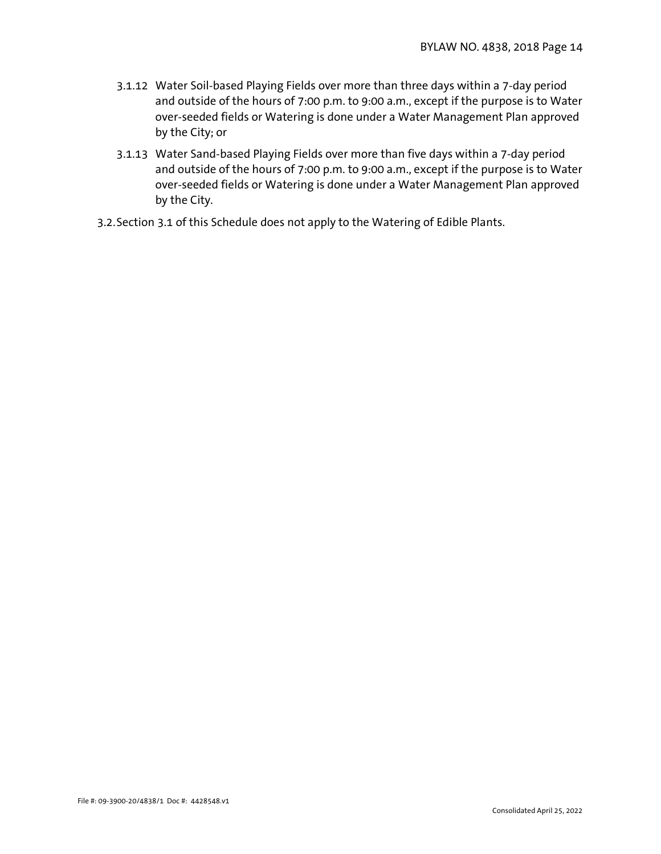- 3.1.12 Water Soil-based Playing Fields over more than three days within a 7-day period and outside of the hours of 7:00 p.m. to 9:00 a.m., except if the purpose is to Water over-seeded fields or Watering is done under a Water Management Plan approved by the City; or
- 3.1.13 Water Sand-based Playing Fields over more than five days within a 7-day period and outside of the hours of 7:00 p.m. to 9:00 a.m., except if the purpose is to Water over-seeded fields or Watering is done under a Water Management Plan approved by the City.
- 3.2.Section 3.1 of this Schedule does not apply to the Watering of Edible Plants.